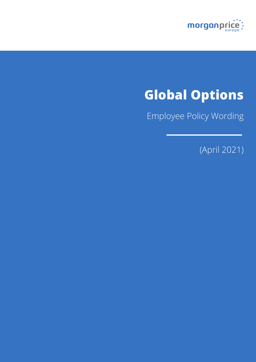

# **Global Options**

Employee Policy Wording

(April 2021)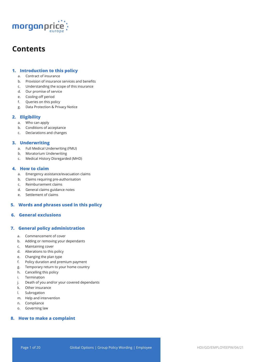

# **Contents**

# **1. Introduction to this policy**

- a. Contract of insurance
- b. Provision of insurance services and benefits
- c. Understanding the scope of this insurance
- d. Our promise of service
- e. Cooling-off period
- f. Queries on this policy
- g. Data Protection & Privacy Notice

# **2. Eligibility**

- a. Who can apply
- b. Conditions of acceptance
- c. Declarations and changes

# **3. Underwriting**

- a. Full Medical Underwriting (FMU)
- b. Moratorium Underwriting
- c. Medical History Disregarded (MHD)

# **4. How to claim**

- a. Emergency assistance/evacuation claims
- b. Claims requiring pre-authorisation
- c. Reimbursement claims
- d. General claims guidance notes
- e. Settlement of claims

# **5. Words and phrases used in this policy**

# **6. General exclusions**

# **7. General policy administration**

- a. Commencement of cover
- b. Adding or removing your dependants
- c. Maintaining cover
- d. Alterations to this policy
- e. Changing the plan type
- f. Policy duration and premium payment
- g. Temporary return to your home country
- h. Cancelling this policy
- i. Termination
- j. Death of you and/or your covered dependants
- k. Other insurance
- l. Subrogation
- m. Help and intervention
- n. Compliance
- o. Governing law

# **8. How to make a complaint**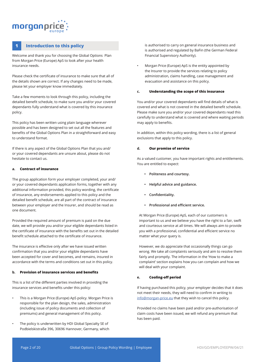# morganpri

# **1 Introduction to this policy**

Welcome and thank you for choosing the Global Options Plan from Morgan Price (Europe) ApS to look after your health insurance needs.

Please check the certificate of insurance to make sure that all of the details shown are correct. If any changes need to be made, please let your employer know immediately.

Take a few moments to look through this policy, including the detailed benefit schedule, to make sure you and/or your covered dependants fully understand what is covered by this insurance policy.

This policy has been written using plain language wherever possible and has been designed to set out all the features and benefits of the Global Options Plan in a straightforward and easy to understand format.

If there is any aspect of the Global Options Plan that you and/ or your covered dependants are unsure about, please do not hesitate to contact us.

# **a. Contract of insurance**

The group application form your employer completed, your and/ or your covered dependants application forms, together with any additional information provided, this policy wording, the certificate of insurance, any endorsements applied to this policy and the detailed benefit schedule, are all part of the contract of insurance between your employer and the Insurer, and should be read as one document.

Provided the required amount of premium is paid on the due date, we will provide you and/or your eligible dependants listed in the certificate of insurance with the benefits set out in the detailed benefit schedule attached to the certificate of insurance.

The insurance is effective only after we have issued written confirmation that you and/or your eligible dependants have been accepted for cover and becomes, and remains, insured in accordance with the terms and conditions set out in this policy.

# **b. Provision of insurance services and benefits**

This is a list of the different parties involved in providing the insurance services and benefits under this policy:

- This is a Morgan Price (Europe) ApS policy. Morgan Price is responsible for the plan design, the sales, administration (including issue of policy documents and collection of premiums) and general management of this policy.
- The policy is underwritten by HDI Global Specialty SE of Podbielskistraße 396, 30696 Hannover, Germany, which

is authorised to carry on general insurance business and is authorised and regulated by BaFin (the German Federal Financial Supervisory Authority).

• Morgan Price (Europe) ApS is the entity appointed by the Insurer to provide the services relating to policy administration, claims handling, case management and evacuation and assistance on this policy.

# **c. Understanding the scope of this insurance**

You and/or your covered dependants will find details of what is covered and what is not covered in the detailed benefit schedule. Please make sure you and/or your covered dependants read this carefully to understand what is covered and where waiting periods may apply to benefits.

In addition, within this policy wording, there is a list of general exclusions that apply to this policy.

# **d. Our promise of service**

As a valued customer, you have important rights and entitlements. You are entitled to expect:

- **• Politeness and courtesy.**
- **• Helpful advice and guidance.**
- **• Confidentiality.**
- **• Professional and efficient service.**

At Morgan Price (Europe) ApS, each of our customers is important to us and we believe you have the right to a fair, swift and courteous service at all times. We will always aim to provide you with a professional, confidential and efficient service no matter what your query is.

However, we do appreciate that occasionally things can go wrong. We take all complaints seriously and aim to resolve them fairly and promptly. The information in the 'How to make a complaint' section explains how you can complain and how we will deal with your complaint.

# **e. Cooling-off period**

If having purchased this policy, your employer decides that it does not meet their needs, they will need to confirm in writing to info@morgan-price.eu that they wish to cancel this policy.

Provided no claims have been paid and/or pre-authorisation of claim costs have been issued, we will refund any premium that has been paid.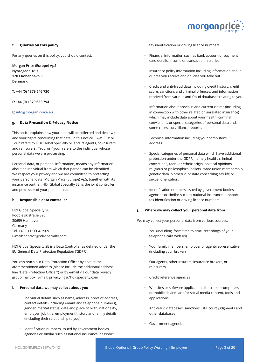

# **f. Queries on this policy**

For any queries on this policy, you should contact:

**Morgan Price (Europe) ApS Nybrogade 18 3. 1203 Kobenhavn K Denmark**

**T: +44 (0) 1379 646 730**

**F: +44 (0) 1379 652 794**

# **E: info@morgan-price.eu**

# **g. Data Protection & Privacy Notice**

This notice explains how your data will be collected and dealt with, and your rights concerning that data. In this notice, `we', `us' or `our' refers to HDI Global Specialty SE and its agents, co-insurers and reinsurers. `You' or `your' refers to the individual whose personal data we are processing.

Personal data, or personal information, means any information about an individual from which that person can be identified. We respect your privacy and we are committed to protecting your personal data. Morgan Price (Europe) ApS, together with its insurance partner, HDI Global Specialty SE, is the joint controller and processor of your personal data.

#### **h. Responsible data controller**

HDI Global Specialty SE Podbielskistraße 396 30659 Hannover Germany Tel. +49 511 5604-2909 E-mail: contact@hdi-specialty.com

HDI Global Specialty SE is a Data Controller as defined under the EU General Data Protection Regulation ('GDPR').

You can reach our Data Protection Officer by post at the aforementioned address (please include the additional address line "Data Protection Officer") or by e-mail via our data privacy group mailbox: E-mail: privacy-hgs@hdi-specialty.com

# **i. Personal data we may collect about you**

- Individual details such as name, address, proof of address, contact details (including emails and telephone numbers), gender, marital status, date and place of birth, nationality, employer, job title, employment history and family details (including their relationship to you).
- Identification numbers issued by government bodies, agencies or similar such as national insurance, passport,

tax identification or driving licence numbers.

- Financial information such as bank account or payment card details, income or transaction histories.
- Insurance policy information including information about quotes you receive and policies you take out.
- Credit and anti-fraud data including credit history, credit score, sanctions and criminal offences, and information received from various anti-fraud databases relating to you.
- Information about previous and current claims (including in connection with other related or unrelated insurance) which may include data about your health, criminal convictions, or special categories of personal data and, in some cases, surveillance reports.
- Technical information including your computer's IP address.
- Special categories of personal data which have additional protection under the GDPR, namely health, criminal convictions, racial or ethnic origin, political opinions, religious or philosophical beliefs, trade union membership, genetic data, biometric, or data concerning sex life or sexual orientation.
- Identification numbers issued by government bodies, agencies or similar such as national insurance, passport, tax identification or driving licence numbers.

# **j. Where we may collect your personal data from**

We may collect your personal data from various sources:

- You (including, from time to time, recordings of your telephone calls with us)
- Your family members, employer or agent/representative (including your broker)
- Our agents, other insurers, insurance brokers, or reinsurers
- Credit reference agencies
- Websites or software applications for use on computers or mobile devices and/or social media content, tools and applications
- Anti-fraud databases, sanctions lists, court judgments and other databases
- Government agencies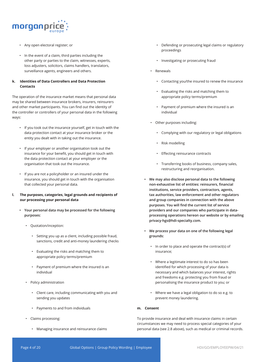

- Any open electoral register; or
- In the event of a claim, third parties including the other party or parties to the claim, witnesses, experts, loss adjusters, solicitors, claims handlers, translators, surveillance agents, engineers and others.

# **k. Identities of Data Controllers and Data Protection Contacts**

The operation of the insurance market means that personal data may be shared between insurance brokers, insurers, reinsurers and other market participants. You can find out the identity of the controller or controllers of your personal data in the following ways:

- If you took out the insurance yourself, get in touch with the data protection contact at your insurance broker or the entity you dealt with in taking out the insurance.
- If your employer or another organisation took out the insurance for your benefit, you should get in touch with the data protection contact at your employer or the organisation that took out the insurance.
- If you are not a policyholder or an insured under the insurance, you should get in touch with the organisation that collected your personal data.
- **l. The purposes, categories, legal grounds and recipients of our processing your personal data**
	- **• Your personal data may be processed for the following purposes:** 
		- Quotation/inception:
			- Setting you up as a client, including possible fraud, sanctions, credit and anti-money laundering checks
			- Evaluating the risks and matching them to appropriate policy terms/premium
			- Payment of premium where the insured is an individual
		- Policy administration
			- Client care, including communicating with you and sending you updates
			- Payments to and from individuals
		- Claims processing:
			- Managing insurance and reinsurance claims
- Defending or prosecuting legal claims or regulatory proceedings
- Investigating or prosecuting fraud
- Renewals
	- Contacting you/the insured to renew the insurance
	- Evaluating the risks and matching them to appropriate policy terms/premium
	- Payment of premium where the insured is an individual
- Other purposes including:
	- Complying with our regulatory or legal obligations
	- Risk modelling
	- Effecting reinsurance contracts
	- Transferring books of business, company sales, restructuring and reorganisation.
- **• We may also disclose personal data to the following non-exhaustive list of entities: reinsurers, financial institutions, service providers, contractors, agents, tax authorities, law enforcement and other regulators and group companies in connection with the above purposes. You will find the current list of service providers and our companies who participate in dataprocessing operations hereon our website or by emailing privacy-hgs@hdi-specialty.com.**
- **• We process your data on one of the following legal grounds:**
	- In order to place and operate the contract(s) of insurance;
	- Where a legitimate interest to do so has been identified for which processing of your data is necessary and which balances your interest, rights and freedoms e.g. protecting you from fraud or personalising the insurance product to you; or
	- Where we have a legal obligation to do so e.g. to prevent money laundering.

# **m. Consent**

To provide insurance and deal with insurance claims in certain circumstances we may need to process special categories of your personal data (see 2.8 above), such as medical or criminal records.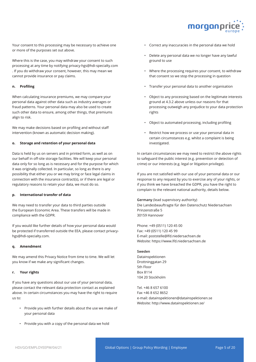

Your consent to this processing may be necessary to achieve one or more of the purposes set out above.

Where this is the case, you may withdraw your consent to such processing at any time by notifying privacy-hgs@hdi-specialty.com . If you do withdraw your consent, however, this may mean we cannot provide insurance or pay claims.

# **n. Profiling**

When calculating insurance premiums, we may compare your personal data against other data such as industry averages or fraud patterns. Your personal data may also be used to create such other data to ensure, among other things, that premiums align to risk.

We may make decisions based on profiling and without staff intervention (known as automatic decision making).

# **o. Storage and retention of your personal data**

Data is held by us on servers and in printed form, as well as on our behalf in off-site storage facilities. We will keep your personal data only for so long as is necessary and for the purpose for which it was originally collected. In particular, so long as there is any possibility that either you or we may bring or face legal claims in connection with the insurance contract(s), or if there are legal or regulatory reasons to retain your data, we must do so.

# **p. International transfer of data**

We may need to transfer your data to third parties outside the European Economic Area. These transfers will be made in compliance with the GDPR.

If you would like further details of how your personal data would be protected if transferred outside the EEA, please contact privacyhgs@hdi-specialty.com.

## **q. Amendment**

We may amend this Privacy Notice from time to time. We will let you know if we make any significant changes.

#### **r. Your rights**

If you have any questions about our use of your personal data, please contact the relevant data protection contact as explained above. In certain circumstances you may have the right to require us to:

- Provide you with further details about the use we make of your personal data
- Provide you with a copy of the personal data we hold
- Correct any inaccuracies in the personal data we hold
- Delete any personal data we no longer have any lawful ground to use
- Where the processing requires your consent, to withdraw that consent so we stop the processing in question
- Transfer your personal data to another organisation
- Object to any processing based on the legitimate interests ground at 4.3.2 above unless our reasons for that processing outweigh any prejudice to your data protection rights
- Object to automated processing, including profiling
- Restrict how we process or use your personal data in certain circumstances e.g. whilst a complaint is being investigated.

In certain circumstances we may need to restrict the above rights to safeguard the public interest (e.g. prevention or detection of crime) or our interests (e.g. legal or litigation privilege).

If you are not satisfied with our use of your personal data or our response to any request by you to exercise any of your rights, or if you think we have breached the GDPR, you have the right to complain to the relevant national authority, details below.

**Germany** (lead supervisory authority) Die Landesbeauftragte für den Datenschutz Niedersachsen Prinzenstraße 5 30159 Hannover

Phone: +49 (0511) 120 45 00 Fax: +49 (0511) 120 45 99 E-mail: poststelle@lfd.niedersachsen.de Website: https://www.lfd.niedersachsen.de

#### **Sweden**

Datainspektionen Drottninggatan 29 5th Floor Box 8114 104 20 Stockholm

Tel. +46 8 657 6100 Fax +46 8 652 8652 e-mail: datainspektionen@datainspektionen.se Website: http://www.datainspektionen.se/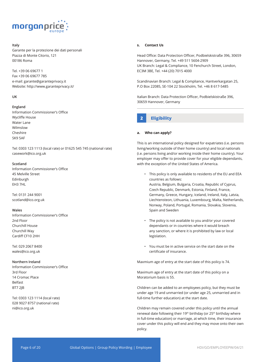

# **Italy**

Garante per la protezione dei dati personali Piazza di Monte Citorio, 121 00186 Roma

Tel. +39 06 69677 1 Fax +39 06 69677 785 e-mail: garante@garanteprivacy.it Website: http://www.garanteprivacy.it/

# **UK**

# **England**

Information Commissioner's Office Wycliffe House Water Lane Wilmslow Cheshire SK9 5AF

Tel: 0303 123 1113 (local rate) or 01625 545 745 (national rate) casework@ico.org.uk

#### **Scotland**

Information Commissioner's Office 45 Melville Street Edinburgh EH3 7HL

Tel: 0131 244 9001 scotland@ico.org.uk

#### **Wales**

Information Commissioner's Office 2nd Floor Churchill House Churchill Way Cardiff CF10 2HH

Tel: 029 2067 8400 wales@ico.org.uk

#### **Northern Ireland**

Information Commissioner's Office 3rd Floor 14 Cromac Place Belfast BT7 2JB

Tel: 0303 123 1114 (local rate) 028 9027 8757 (national rate) ni@ico.org.uk

# **s. Contact Us**

Head Office: Data Protection Officer, Podbielskistraße 396, 30659 Hannover, Germany, Tel. +49 511 5604-2909 UK Branch: Legal & Compliance, 10 Fenchurch Street, London, EC3M 3BE, Tel. +44 (20) 7015 4000

Scandinavian Branch: Legal & Compliance, Hantverkargatan 25, P.O Box 22085, SE-104 22 Stockholm, Tel. +46 8 617-5485

Italian Branch: Data Protection Officer, Podbielskistraße 396, 30659 Hannover, Germany

# **2 Eligibility**

## **a. Who can apply?**

This is an international policy designed for expatriates (i.e. persons living/working outside of their home country) and local nationals (i.e. persons living and/or working inside their home country). Your employer may offer to provide cover for your eligible dependants, with the exception of the United States of America.

- This policy is only available to residents of the EU and EEA countries as follows: Austria, Belgium, Bulgaria, Croatia, Republic of Cyprus, Czech Republic, Denmark, Estonia, Finland, France, Germany, Greece, Hungary, Iceland, Ireland, Italy, Latvia, Liechtensteon, Lithuania, Luxembourg, Malta, Netherlands, Norway, Poland, Portugal, Romania, Slovakia, Slovenia, Spain and Sweden
- The policy is not available to you and/or your covered dependants or in countries where it would breach any sanction, or where it is prohibited by law or local legislation.
- You must be in active service on the start date on the certificate of insurance.

Maxmium age of entry at the start date of this policy is 74.

Maximum age of entry at the start date of this policy on a Moratorium basis is 55.

Children can be added to an employees policy, but they must be under age 19 and unmarried (or under age 25, unmarried and in full-time further education) at the start date.

Children may remain covered under this policy until the annual renewal date following their 19<sup>th</sup> birthday (or 25<sup>th</sup> birthday where in full-time education) or marriage, at which time, their insurance cover under this policy will end and they may move onto their own policy.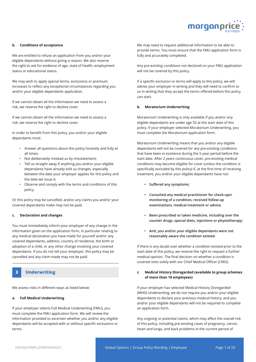

## **b. Conditions of acceptance**

We are entitled to refuse an application from you and/or your eligible dependants without giving a reason. We also reserve the right to ask for evidence of age, state of health, employment status or educational status.

We may wish to apply special terms, exclusions or premium increases to reflect any exceptional circumstances regarding you and/or your eligible dependants application.

If we cannot obtain all the information we need to assess a risk, we reserve the right to decline cover.

If we cannot obtain all the information we need to assess a risk, we reserve the right to decline cover.

In order to benefit from this policy, you and/or your eligible dependants must:

- Answer all questions about this policy honestly and fully at all times;
- Not deliberately mislead us by misstatement;
- Tell us straight away if anything you and/or your eligible dependants have already told us changes, especially between the date your employer applies for this policy and the date we issue it;
- Observe and comply with the terms and conditions of this policy.

Or this policy may be cancelled, and/or any claims you and/or your covered dependants make may not be paid.

# **c. Declaration and changes**

You must immediately inform your employer of any change in the information given on the application form, in particular relating to any medical declaration you have made for yourself and/or any covered dependants, address, country of residence, the birth or adoption of a child, or any other change involving your covered dependants. If you do not tell your employer, this policy may be cancelled and any claim made may not be paid.

# **3 Underwriting**

We assess risks in different ways as listed below:

# **a. Full Medical Underwriting**

If your employer selects Full Medical Underwriting (FMU), you must complete the FMU application form. We will review the information provided to ascertain whether you and/or any eligible dependants will be accepted with or without specific exclusions or terms.

We may need to request additional information to be able to provide terms. You must ensure that the FMU application form is fully and accurately completed.

Any pre-existing conditions not declared on your FMU application will not be covered by this policy.

If a specific exclusion or terms will apply to this policy, we will advise your employer in writing and they will need to confirm to us in writing that they accept the terms offered before this policy can start.

# **b. Moratorium Underwriting**

Moratorium Underwriting is only available if you and/or any eligible dependants are under age 55 at the start date of this policy. If your employer selected Moratorium Underwriting, you must complete the Moratorium application form.

Moratorium Underwriting means that you and/or any eligible dependants will not be covered for any pre-existing conditions that have been in existence during the 5-year period before the start date. After 2 years continuous cover, pre-existing medical conditions may become eligible for cover (unless the condition is specifically excluded by this policy) if, at the first time of receiving treatment, you and/or your eligible dependants have not:

- **• Suffered any symptoms;**
- **• Consulted any medical practitioner for check-ups/ monitoring of a condition, received follow-up examinations, medical treatment or advice;**
- **• Been prescribed or taken medicine, including over the counter drugs, special diets, injections or physiotherapy;**
- **• And, you and/or your eligible dependants were not reasonably aware the condition existed.**

If there is any doubt over whether a condition existed prior to the start date of this policy, we reserve the right to request a further medical opinion. The final decision on whether a condition is covered rests solely with our Chief Medical Officer (CMO).

# **c. Medical History Disregarded (available to group schemes of more than 10 employees)**

If your employer has selected Medical History Disregarded (MHD) Underwriting, we do not require you and/or your eligible dependants to declare your previous medical history, and you and/or your eligible dependants will not be required to complete an application form.

Any ongoing or potential claims, which may affect the overall risk of this policy, including pre-existing cases of pregnancy, cancer, heart and lungs, and back problems in the current period of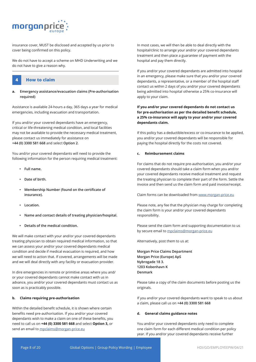

insurance cover, MUST be disclosed and accepted by us prior to cover being confirmed on this policy.

We do not have to accept a scheme on MHD Underwriting and we do not have to give a reason why.

# **4 How to claim**

# **a. Emergency assistance/evacuation claims (Pre-authorisation required)**

Assistance is available 24-hours a day, 365 days a year for medical emergencies, including evacuation and transportation.

If you and/or your covered dependants have an emergency, critical or life-threatening medical condition, and local facilities may not be available to provide the necessary medical treatment, please contact us immediately for assistance on **+44 (0) 3300 581 668** and select **Option 2**.

You and/or your covered dependants will need to provide the following information for the person requiring medical treatment:

- **• Full name.**
- **• Date of birth.**
- **• Membership Number (found on the certificate of insurance).**
- **• Location.**
- **• Name and contact details of treating physician/hospital.**
- **• Details of the medical condition.**

We will make contact with your and/or your covered dependants treating physician to obtain required medical information, so that we can assess your and/or your covered dependants medical condition and decide if medical evacuation is required, and how we will need to action that. If covered, arrangements will be made and we will deal directly with any facility or evacuation provider.

In dire emergencies in remote or primitive areas where you and/ or your covered dependants cannot make contact with us in advance, you and/or your covered dependants must contact us as soon as is practicably possible.

# **b. Claims requiring pre-authorisation**

Within the detailed benefit schedule, it is shown where certain benefits need pre-authorisation. If you and/or your covered dependants wish to make a claim on one of these benefits, you need to call us on **+44 (0) 3300 581 668** and select **Option 3,** or send an email to mpclaims@morgan-price.eu

In most cases, we will then be able to deal directly with the hospital/clinic to arrange your and/or your covered dependants treatment and then place a guarantee of payment with the hospital and pay them directly.

If you and/or your covered dependants are admitted into hospital in an emergency, please make sure that you and/or your covered dependants, a representative, or a member of the hospital staff contact us within 2 days of you and/or your covered dependants being admitted into hospital otherwise a 25% co-insurance will apply to your claim.

**If you and/or your covered dependants do not contact us for pre-authorisation as per the detailed benefit schedule, a 25% co-insurance will apply to your and/or your covered dependants claim.**

If this policy has a deductible/excess or co-insurance to be applied, you and/or your covered dependants will be responsible for paying the hospital directly for the costs not covered.

# **c. Reimbursement claims**

For claims that do not require pre-authorisation, you and/or your covered dependants should take a claim form when you and/or your covered dependants receive medical treatment and request the treating physician to complete their part of the form. Settle the invoice and then send us the claim form and paid invoice/receipt.

Claim forms can be downloaded from www.morgan-price.eu

Please note, any fee that the physician may charge for completing the claim form is your and/or your covered dependants responsibility.

Please send the claim form and supporting documentation to us by secure email to mpclaims@morgan-price.eu

Alternatively, post them to us at:

**Morgan Price Claims Department Morgan Price (Europe) ApS Nybrogade 18 3. 1203 Kobenhavn K Denmark**

Please take a copy of the claim documents before posting us the originals.

If you and/or your covered dependants want to speak to us about a claim, please call us on **+44 (0) 3300 581 668**

# **d. General claims guidance notes**

You and/or your covered dependants only need to complete one claim form for each different medical condition per policy year. If you and/or your covered dependants receive further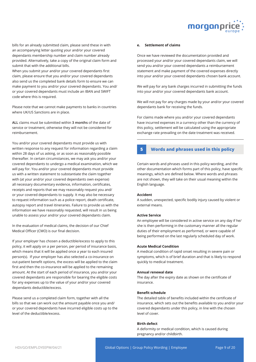

bills for an already submitted claim, please send these in with an accompanying letter quoting your and/or your covered dependants membership number and claim number already provided. Alternatively, take a copy of the original claim form and submit that with the additional bills.

When you submit your and/or your covered dependants first claim, please ensure that you and/or your covered dependants also send us the completed bank details form to ensure we can make payment to you and/or your covered dependants. You and/ or your covered dependants must include an IBAN and SWIFT code where this is required.

Please note that we cannot make payments to banks in countries where UK/US Sanctions are in place.

**ALL** claims must be submitted within **3 months** of the date of service or treatment, otherwise they will not be considered for reimbursement.

You and/or your covered dependants must provide us with written response to any request for information regarding a claim within 28 days of us asking, or as soon as reasonably possible thereafter. In certain circumstances, we may ask you and/or your covered dependants to undergo a medical examination, which we will pay for. You and/or your covered dependants must provide us with a written statement to substantiate the claim together with (at your and/or your covered dependants own expense) all necessary documentary evidence, information, certificates, receipts and reports that we may reasonably request you and/ or your covered dependants to supply. It may also be necessary to request information such as a police report, death certificate, autopsy report and travel itineraries. Failure to provide us with the information we have reasonably requested, will result in us being unable to assess your and/or your covered dependants claim.

In the evaluation of medical claims, the decision of our Chief Medical Officer (CMO) is our final decision.

If your employer has chosen a deductible/excess to apply to this policy, it will apply on a per person, per period of insurance basis, which means that it will be applied once a year to each insured person(s). If your employer has also selected a co-insurance on out-patient benefit options, the excess will be applied to the claim first and then the co-insurance will be applied to the remaining amount. At the start of each period of insurance, you and/or your covered dependants are responsible for bearing the eligible costs for any expenses up to the value of your and/or your covered dependants deductible/excess.

Please send us a completed claim form, together with all the bills so that we can work out the amount payable once you and/ or your covered dependants have incurred eligible costs up to the level of the deductible/excess.

# **e. Settlement of claims**

Once we have reviewed the documentation provided and processed your and/or your covered dependants claim, we will send you and/or your covered dependants a reimbursement statement and make payment of the covered expenses directly into your and/or your covered dependants chosen bank account.

We will pay for any bank charges incurred in submitting the funds into your and/or your covered dependants bank account.

We will not pay for any charges made by your and/or your covered dependants bank for receiving the funds.

For claims made where you and/or your covered dependants have incurred expenses in a currency other than the currency of this policy, settlement will be calculated using the appropriate exchange rate prevailing on the date treatment was received.

# **5 Words and phrases used in this policy**

Certain words and phrases used in this policy wording, and the other documentation which forms part of this policy, have specific meanings, which are defined below. Where words and phrases are not shown, they will take on their usual meaning within the English language.

## **Accident**

A sudden, unexpected, specific bodily injury caused by violent or external means.

#### **Active Service**

An employee will be considered in active service on any day if he/ she is then performing in the customary manner all the regular duties of their employment as performed, or were capable of being performed on the last regularly scheduled day of work.

#### **Acute Medical Condition**

A medical condition of rapid onset resulting in severe pain or symptoms, which is of brief duration and that is likely to respond quickly to medical treatment.

# **Annual renewal date**

The day after the expiry date as shown on the certificate of insurance.

# **Benefit schedule**

The detailed table of benefits included within the certificate of insurance, which sets out the benefits available to you and/or your covered dependants under this policy, in line with the chosen level of cover.

#### **Birth defect**

A deformity or medical condition, which is caused during pregnancy and/or childbirth.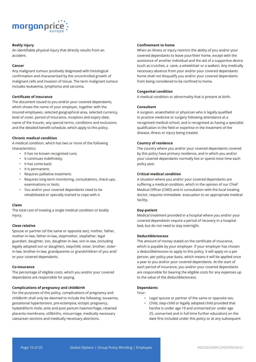

# **Bodily injury**

An identifiable physical injury that directly results from an accident.

# **Cancer**

Any malignant tumour positively diagnosed with histological confirmation and characterised by the uncontrolled growth of malignant cells and invasion of tissue. The term malignant tumour includes leukaemia, lymphoma and sarcoma.

# **Certificate of insurance**

The document issued to you and/or your covered dependants, which shows the name of your employer, together with the insured employees, selected geographical area, selected currency, level of cover, period of insurance, inception and expiry date, name of the Insurer, any special terms, conditions and exclusions and the detailed benefit schedule, which apply to this policy.

# **Chronic medical condition**

A medical condition, which has two or more of the following characteristics:

- It has no known recognised cure;
- It continues indefinitely;
- It has come back;
- It is permanent;
- Requires palliative treatment;
- Requires long-term monitoring, consultations, check-ups, examinations or tests;
- You and/or your covered dependants need to be rehabilitated or specially trained to cope with it.

# **Claim**

The total cost of treating a single medical condition or bodily injury.

### **Close relative**

Spouse or partner (of the same or opposite sex), mother, father, mother-in-law, father-in-law, stepmother, stepfather, legal guardian, daughter, son, daughter-in-law, son-in-law, (including legally adopted son or daughter), stepchild, sister, brother, sisterin-law, brother-in-law, grandparents or grandchildren of you and/ or your covered dependants.

# **Co-insurance**

The percentage of eligible costs, which you and/or your covered dependants are responsible for paying.

# **Complications of pregnancy and childbirth**

For the purposes of this policy, complications of pregnancy and childbirth shall only be deemed to include the following: toxaemia, gestational hypertension, pre-eclampsia, ectopic pregnancy, hydatidiform mole, ante and post partum haemorrhage, retained placenta membrane, stillbirths, miscarriage, medically necessary caesarean sections and medically necessary abortions.

# **Confinement to home**

When an illness or injury restricts the ability of you and/or your covered dependants to leave your/their home, except with the assistance of another individual and the aid of a supportive device (such as crutches, a cane, a wheelchair or a walker). Any medically necessary absence from your and/or your covered dependants home shall not disqualify you and/or your covered dependants from being considered to be confined to home.

## **Congenital condition**

A medical condition or abnormality that is present at birth.

#### **Consultant**

A surgeon, anaesthetist or physician who is legally qualified to practice medicine or surgery following attendance at a recognised medical school, and is recognised as having a specialist qualification in the field or expertise in the treatment of the disease, illness or injury being treated.

#### **Country of residence**

The country where you and/or your covered dependants covered by this policy have primary residence, and in which you and/or your covered dependants normally live or spend most time each policy year.

# **Critical medical condition**

A situation where you and/or your covered dependants are suffering a medical condition, which in the opinion of our Chief Medical Officer (CMO) and in consultation with the local treating doctor, requires immediate evacuation to an appropriate medical facility.

# **Day-patient**

Medical treatment provided in a hospital where you and/or your covered dependants require a period of recovery in a hospital bed, but do not need to stay overnight.

#### **Deductible/excess**

The amount of money stated on the certificate of insurance, which is payable by your employer. If your employer has chosen a deductible/excess to apply to this policy, it will apply on a per person, per policy year basis, which means it will be applied once a year to you and/or your covered dependants. At the start of each period of insurance, you and/or your covered dependants are responsible for bearing the eligible costs for any expenses up to the value of the deductible/excess.

#### **Dependants**

- Your:
	- Legal spouse or partner of the same or opposite sex;
	- Child, step-child or legally adopted child provided that he/she is under age 19 and unmarried (or under age 25, unmarried and in full-time further education) on the date first included under this policy or at any subsequent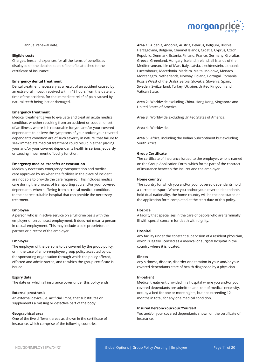

annual renewal date.

#### **Eligible costs**

Charges, fees and expenses for all the items of benefits as displayed on the detailed table of benefits attached to the certificate of insurance.

#### **Emergency dental treatment**

Dental treatment necessary as a result of an accident caused by an extra-oral impact, received within 48 hours from the date and time of the accident, for the immediate relief of pain caused by natural teeth being lost or damaged.

# **Emergency treatment**

Medical treatment given to evaluate and treat an acute medical condition, whether resulting from an accident or sudden onset of an illness, where it is reasonable for you and/or your covered dependants to believe the symptoms of your and/or your covered dependants condition are of such severity in nature, that failure to seek immediate medical treatment could result in either placing your and/or your covered dependants health in serious jeopardy or causing impairment of bodily function.

#### **Emergency medical transfer or evacuation**

Medically necessary emergency transportation and medical care approved by us when the facilities in the place of incident are not able to provide the care required. This includes medical care during the process of transporting you and/or your covered dependants, when suffering from a critical medical condition, to the nearest suitable hospital that can provide the necessary treatment.

# **Employee**

A person who is in active service on a full-time basis with the employer or on contract employment. It does not mean a person in casual employment. This may include a sole proprietor, or partner or director of the employer.

#### **Employer**

The employer of the persons to be covered by the group policy, or in the case of a non-employee group policy accepted by us, the sponsoring organisation through which the policy offered, effected and administered, and to which the group certificate is issued.

#### **Expiry date**

The date on which all insurance cover under this policy ends.

#### **External prosthesis**

An external device (i.e. artificial limbs) that substitutes or supplements a missing or defective part of the body.

#### **Geographical area**

One of the five different areas as shown in the certificate of insurance, which comprise of the following countries:

**Area 1:** Albania, Andorra, Austria, Belarus, Belgium, Bosnia Herzegovina, Bulgaria, Channel Islands, Croatia, Cyprus, Czech Republic, Denmark, Estonia, Finland, France, Germany, Gibraltar, Greece, Greenland, Hungary, Iceland, Ireland, all islands of the Mediterranean, Isle of Man, Italy, Latvia, Liechtenstein, Lithuania, Luxembourg, Macedonia, Madeira, Malta, Moldova, Monaco, Montenegro, Netherlands, Norway, Poland, Portugal, Romania, Russia (West of the Urals), Serbia, Slovakia, Slovenia, Spain, Sweden, Switzerland, Turkey, Ukraine, United Kingdom and Vatican State.

**Area 2:** Worldwide excluding China, Hong Kong, Singapore and United States of America.

**Area 3:** Worldwide excluding United States of America.

**Area 4:** Worldwide.

**Area 5:** Africa, including the Indian Subcontinent but excluding South Africa

### **Group Certificate**

The certificate of insurance issued to the employer, who is named on the Group Application Form, which forms part of the contract of insurance between the Insurer and the employer.

#### **Home country**

The country for which you and/or your covered dependants hold a current passport. Where you and/or your covered dependants hold dual nationality, the home country will be the one stated on the application form completed at the start date of this policy.

# **Hospice**

A facility that specialises in the care of people who are terminally ill with special concern for death with dignity.

#### **Hospital**

Any facility under the constant supervision of a resident physician, which is legally licensed as a medical or surgical hospital in the country where it is located.

#### **Illness**

Any sickness, disease, disorder or alteration in your and/or your covered dependants state of health diagnosed by a physician.

#### **In-patient**

Medical treatment provided in a hospital where you and/or your covered dependants are admitted and, out of medical necessity, occupy a bed for one or more nights, but not exceeding 12 months in total, for any one medical condition.

#### **Insured Person/You/Your/Yourself**

You and/or your covered dependants shown on the certificate of insurance.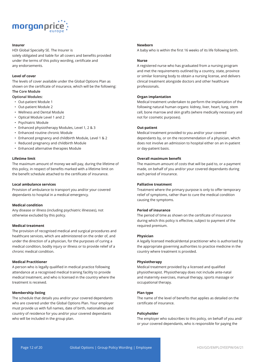

## **Insurer**

HDI Global Specialty SE. The Insurer is solely obligated and liable for all covers and benefits provided under the terms of this policy wording, certificate and any endorsements.

#### **Level of cover**

The levels of cover available under the Global Options Plan as shown on the certificate of insurance, which will be the following: **The Core Module**

# **Optional Modules:**

- Out-patient Module 1
- Out-patient Module 2
- Wellness and Dental Module
- Optical Module Level 1 and 2
- Psychiatric Module
- Enhanced physiotherapy Modules, Level 1, 2 & 3
- Enhanced routine chronic Module
- Enhanced pregnancy and childbirth Module, Level 1 & 2
- Reduced pregnancy and childbirth Module
- Enhanced alternative therapies Module

# **Lifetime limit**

The maximum amount of money we will pay, during the lifetime of this policy, in respect of benefits marked with a lifetime limit on the benefit schedule attached to the certificate of insurance.

#### **Local ambulance services**

Provision of ambulance to transport you and/or your covered dependants to hospital in a medical emergency.

# **Medical condition**

Any disease or illness (including psychiatric illnesses), not otherwise excluded by this policy.

# **Medical treatment**

The provision of recognised medical and surgical procedures and healthcare services, which are administered on the order of, and under the direction of a physician, for the purposes of curing a medical condition, bodily injury or illness or to provide relief of a chronic medical condition.

#### **Medical Practitioner**

A person who is legally qualified in medical practice following attendance at a recognised medical training facility to provide medical treatment, and who is licensed in the country where the treatment is received.

#### **Membership listing**

The schedule that details you and/or your covered dependants who are covered under the Global Options Plan. Your employer must provide us with full names, date of birth, nationalities and country of residence for you and/or your covered dependants who will be included in the group plan.

#### **Newborn**

A baby who is within the first 16 weeks of its life following birth.

#### **Nurse**

A registered nurse who has graduated from a nursing program and met the requirements outlined by a country, state, province or similar licensing body to obtain a nursing license, and delivers clinical treatment alongside doctors and other healthcare professionals.

# **Organ implantation**

Medical treatment undertaken to perform the implantation of the following natural human organs: kidney, liver, heart, lung, stem cell, bone marrow and skin grafts (where medically necessary and not for cosmetic purposes).

#### **Out-patient**

Medical treatment provided to you and/or your covered dependants by, or on the recommendation of a physician, which does not involve an admission to hospital either on an in-patient or day-patient basis.

# **Overall maximum benefit**

The maximum amount of costs that will be paid to, or a payment made, on behalf of you and/or your covered dependants during each period of insurance.

#### **Palliative treatment**

Treatment where the primary purpose is only to offer temporary relief of symptoms, rather than to cure the medical condition causing the symptoms.

#### **Period of insurance**

The period of time as shown on the certificate of insurance during which this policy is effective, subject to payment of the required premium.

#### **Physician**

A legally licensed medical/dental practitioner who is authorised by the appropriate governing authorities to practice medicine in the country where treatment is provided.

#### **Physiotherapy**

Medical treatment provided by a licensed and qualified physiotherapist. Physiotherapy does not include ante-natal and maternity exercises, manual therapy, sports massage or occupational therapy.

#### **Plan type**

The name of the level of benefits that applies as detailed on the certificate of insurance.

#### **Policyholder**

The employer who subscribes to this policy, on behalf of you and/ or your covered dependants, who is responsible for paying the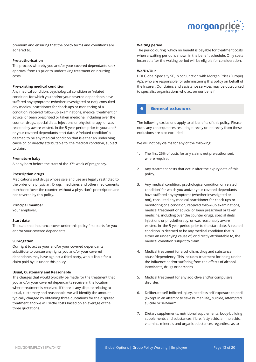

premium and ensuring that the policy terms and conditions are adhered to.

# **Pre-authorisation**

The process whereby you and/or your covered dependants seek approval from us prior to undertaking treatment or incurring costs.

#### **Pre-existing medical condition**

Any medical condition, psychological condition or 'related condition' for which you and/or your covered dependants have suffered any symptoms (whether investigated or not), consulted any medical practitioner for check-ups or monitoring of a condition, received follow-up examinations, medical treatment or advice, or been prescribed or taken medicine, including over the counter drugs, special diets, injections or physiotherapy, or was reasonably aware existed, in the 5-year period prior to your and/ or your covered dependants start date. A 'related condition' is deemed to be any medical condition that is either an underlying cause of, or directly attributable to, the medical condition, subject to claim.

## **Premature baby**

A baby born before the start of the 37<sup>th</sup> week of pregnancy.

## **Prescription drugs**

Medications and drugs whose sale and use are legally restricted to the order of a physician. Drugs, medicines and other medicaments purchased 'over the counter' without a physician's prescription are not covered by this policy.

#### **Principal member**

Your employer.

#### **Start date**

The date that insurance cover under this policy first starts for you and/or your covered dependants.

#### **Subrogation**

Our right to act as your and/or your covered dependants substitute to pursue any rights you and/or your covered dependants may have against a third party, who is liable for a claim paid by us under this policy.

#### **Usual, Customary and Reasonable**

The charges that would typically be made for the treatment that you and/or your covered dependants receive in the location where treatment is received. If there is any dispute relating to usual, customary and reasonable, we will identify the amount typically charged by obtaining three quotations for the disputed treatment and we will settle costs based on an average of the three quotations.

## **Waiting period**

The period during, which no benefit is payable for treatment costs when a waiting period is shown in the benefit schedule. Only costs incurred after the waiting period will be eligible for consideration.

#### **We/Us/Our**

HDI Global Specialty SE, in conjunction with Morgan Price (Europe) ApS, who are responsible for administering this policy on behalf of the Insurer. Our claims and assistance services may be outsourced to specialist organisations who act on our behalf.

# **6 General exlusions**

The following exclusions apply to all benefits of this policy. Please note, any consequences resulting directly or indirectly from these exclusions are also excluded.

We will not pay claims for any of the following:

- 1. The first 25% of costs for any claims not pre-authorised, where required.
- 2. Any treatment costs that occur after the expiry date of this policy.
- 3. Any medical condition, psychological condition or 'related condition' for which you and/or your covered dependants have suffered any symptoms (whether investigated or not), consulted any medical practitioner for check-ups or monitoring of a condition, received follow-up examinations, medical treatment or advice, or been prescribed or taken medicine, including over the counter drugs, special diets, injections or physiotherapy, or was reasonably aware existed, in the 5-year period prior to the start date. A 'related condition' is deemed to be any medical condition that is either an underlying cause of, or directly attributable to, the medical condition subject to claim.
- 4. Medical treatment for alcoholism, drug and substance abuse/dependency. This includes treatment for being under the influence and/or suffering from the effects of alcohol, intoxicants, drugs or narcotics.
- 5. Medical treatment for any addictive and/or compulsive disorder.
- 6. Deliberate self-inflicted injury, needless self-exposure to peril (except in an attempt to save human life), suicide, attempted suicide or self-harm.
- 7. Dietary supplements, nutritional supplements, body-building supplements and substances, fibre, fatty acids, amino acids, vitamins, minerals and organic substances regardless as to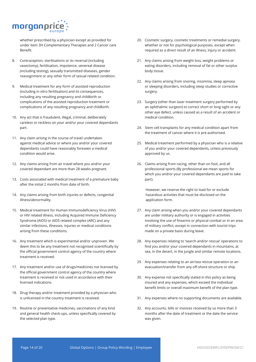

whether prescribed by a physician except as provided for under item 3H Complementary Therapies and 2 Cancer care Benefit.

- 8. Contraception, sterilisations or its reversal (including vasectomy), fertilisation, impotence, venereal disease (including testing), sexually transmitted diseases, gender reassignment or any other form of sexual related condition.
- 9. Medical treatment for any form of assisted reproduction (including in vitro fertilisation) and its consequences, including any resulting pregnancy and childbirth or complications of the assisted reproduction treatment or complications of any resulting pregnancy and childbirth.
- 10. Any act that is fraudulent, illegal, criminal, deliberately careless or reckless on your and/or your covered dependants part.
- 11. Any claim arising in the course of travel undertaken against medical advice or where you and/or your covered dependants could have reasonably foreseen a medical condition would arise.
- 12. Any claims arising from air travel where you and/or your covered dependant are more than 28 weeks pregnant.
- 13. Costs associated with medical treatment of a premature baby after the initial 2 months from date of birth.
- 14. Any claims arising from birth injuries or defects, congenital illness/abnormality.
- 15. Medical treatment for Human Immunodeficiency Virus (HIV) or HIV related illness, including Acquired Immune Deficiency Syndrome (AIDS) or AIDS related complex (ARC) and any similar infections, illnesses, injuries or medical conditions arising from these conditions.
- 16. Any treatment which is experimental and/or unproven. We deem this to be any treatment not recognised scientifically by the official government control agency of the country where treatment is received.
- 17. Any treatment and/or use of drugs/medicines not licensed by the official government control agency of the country where treatment is received or not used in accordance with their licensed indications.
- 18. Drug therapy and/or treatment provided by a physician who is unlicensed in the country treatment is received.
- 19. Routine or preventative medicines, vaccinations of any kind and general health check-ups, unless specifically covered by the selected plan type.
- 20. Cosmetic surgery, cosmetic treatments or remedial surgery, whether or not for psychological purposes, except when required as a direct result of an illness, injury or accident.
- 21. Any claims arising from weight loss, weight problems or eating disorders, including removal of fat or other surplus body tissue.
- 22. Any claims arising from snoring, insomnia, sleep apnoea or sleeping disorders, including sleep studies or corrective surgery.
- 23. Surgery (other than laser treatment surgery performed by an ophthalmic surgeon) to correct short or long sight or any other eye defect, unless caused as a result of an accident or medical condition.
- 24. Stem cell transplants for any medical condition apart from the treatment of cancer where it is pre-authorised.
- 25. Medical treatment performed by a physician who is a relative of you and/or your covered dependants, unless previously approved by us.
- 26. Claims arising from racing, other than on foot, and all professional sports (By professional we mean sports for which you and/or your covered dependants are paid to take part).

However, we reserve the right to load for or exclude hazardous activities that must be disclosed on the application form.

- 27. Any claim arising when you and/or your covered dependants are under military authority or is engaged in activities involving the use of firearms or physical combat or in an area of military conflict, except in connection with tourist trips made on a private basis during leave.
- 28. Any expenses relating to 'search and/or rescue' operations to find you and/or your covered dependants in mountains, at sea, in the desert, in the jungle and similar remote locations.
- 29. Any expenses relating to an air/sea rescue operation or an evacuation/transfer from any off-shore structure or ship.
- 30. Any expense not specifically stated in this policy as being insured and any expenses, which exceed the individual benefit limits or overall maximum benefit of the plan type.
- 31. Any expenses where no supporting documents are available.
- 32. Any accounts, bills or invoices received by us more than 3 months after the date of treatment or the date the service was given.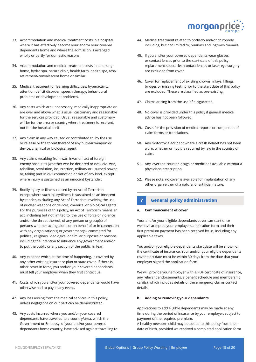

- 33. Accommodation and medical treatment costs in a hospital where it has effectively become your and/or your covered dependants home and where the admission is arranged wholly or partly for domestic reasons.
- 34. Accommodation and medical treatment costs in a nursing home, hydro spa, nature clinic, health farm, health spa, rest/ retirement/convalescent home or similar.
- 35. Medical treatment for learning difficulties, hyperactivity, attention deficit disorder, speech therapy, behavioural problems or development problems.
- 36. Any costs which are unnecessary, medically inappropriate or are over and above what is usual, customary and reasonable for the services provided. Usual, reasonable and customary will be for the area or country where treatment is received, not for the hospital itself.
- 37. Any claim in any way caused or contributed to, by the use or release or the threat thereof of any nuclear weapon or device, chemical or biological agent.
- 38. Any claims resulting from war, invasion, act of foreign enemy hostilities (whether war be declared or not), civil war, rebellion, revolution, insurrection, military or usurped power or, taking part in civil commotion or riot of any kind, except where injury is sustained as an innocent bystander.
- 39. Bodily injury or illness caused by an Act of Terrorism, except where such injury/illness is sustained as an innocent bystander, excluding any Act of Terrorism involving the use of nuclear weapons or devices, chemical or biological agents. For the purposes of this policy, an Act of Terrorism means an act, including but not limited to, the use of force or violence and/or the threat thereof, of any person or group(s) of persons whether acting alone or on behalf of or in connection with any organisation(s) or government(s), committed for political, religious, ideological or similar purposes or reasons including the intention to influence any government and/or to put the public or any section of the public, in fear.
- 40. Any expense which at the time of happening, is covered by any other existing insurance plan or state cover. If there is other cover in force, you and/or your covered dependants must tell your employer when they first contact us.
- 41. Costs which you and/or your covered dependants would have otherwise had to pay in any event.
- 42. Any loss arising from the medical services in this policy, unless negligence on our part can be demonstrated.
- 43. Any costs incurred where you and/or your covered dependants have travelled to a country/area, which the Government or Embassy, of your and/or your covered dependants home country, have advised against travelling to.
- 44. Medical treatment related to podiatry and/or chiropody, including, but not limited to, bunions and ingrown toenails.
- 45. If you and/or your covered dependants wear glasses or contact lenses prior to the start date of this policy, replacement spectacles, contact lenses or laser eye surgery are excluded from cover.
- 46. Cover for replacement of existing crowns, inlays, fillings, bridges or missing teeth prior to the start date of this policy are excluded. These are classified as pre-existing.
- 47. Claims arising from the use of e-cigarettes.
- 48. No cover is provided under this policy if general medical advice has not been followed.
- 49. Costs for the provision of medical reports or completion of claim forms or translations.
- 50. Any motorcycle accident where a crash helmet has not been worn, whether or not it is required by law in the country of claim.
- 51. Any 'over the counter' drugs or medicines available without a physicians prescription.
- 52. Please note, no cover is available for implantation of any other organ either of a natural or artificial nature.

# **7 General policy administration**

# **a. Commencement of cover**

Your and/or your eligible dependants cover can start once we have accepted your employers application form and their first premium payment has been received by us, including any applicable taxes.

You and/or your eligible dependants start date will be shown on the certificate of insurance. Your and/or your eligible dependants cover start date must be within 30 days from the date that your employer signed the application form.

We will provide your employer with a PDF certificate of insurance, any relevant endorsements, a benefit schedule and membership card(s), which includes details of the emergency claims contact details.

# **b. Adding or removing your dependants**

Applications to add eligible dependants may be made at any time during the period of insurance by your employer, subject to payment of the required premium.

A healthy newborn child may be added to this policy from their date of birth, provided we received a completed application form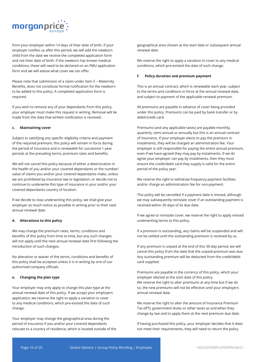

from your employer within 14 days of their date of birth. If your employer notifies us after this period, we will add the newborn child from the date we receive the completed application form and not their date of birth. If the newborn has known medical conditions, these will need to be declared on an FMU application form and we will advise what cover we can offer.

Please note that submission of a claim under item 5 – Maternity Benefits, does not constitute formal notification for the newborn to be added to this policy. A completed application form is required.

If you wish to remove any of your dependants from this policy, your employer must make this request in writing. Removal will be made from the date that written notification is received.

#### **c. Maintaining cover**

Subject to satisfying any specific eligibility criteria and payment of the required premium, this policy will remain in force during the period of insurance and is renewable for successive 1-year periods at the prevailing terms, premium rates and benefits.

We will not cancel this policy because of either a deterioration in the health of you and/or your covered dependants or the number/ value of claims you and/or your covered dependants make, unless we are prohibited by insurance law or legislation, or decide not to continue to underwrite this type of insurance in your and/or your covered dependants country of location.

If we decide to stop underwriting this policy, we shall give your employer as much notice as possible in writing prior to their next annual renewal date.

# **d. Alterations to this policy**

We may change the premium rates, terms, conditions and benefits of this policy from time to time, but any such changes will not apply until the next annual renewal date first following the introduction of such changes.

No alteration or waiver of the terms, conditions and benefits of this policy shall be accepted unless it is in writing by one of our authorised company officials.

#### **e. Changing the plan type**

Your employer may only apply to change this plan type at the annual renewal date of this policy. If we accept your employers application, we reserve the right to apply a variation in cover to any medical conditions, which pre-existed the date of such change.

Your employer may change the geographical area during the period of insurance if you and/or your covered dependants relocate to a country of residence, which is located outside of the geographical area chosen at the start date or subsequent annual renewal date.

We reserve the right to apply a variation in cover to any medical conditions, which pre-existed the date of such change.

#### **f. Policy duration and premium payment**

This is an annual contract, which is renewable each year, subject to the terms and conditions in force at the annual renewal date, and subject to payment of the applicable renewal premium.

All premiums are payable in advance of cover being provided under this policy. Premiums can be paid by bank transfer or by debit/credit card.

Premiums (and any applicable taxes) are payable monthly, quarterly, semi-annual or annually but this is an annual contract of insurance. If your employer elects to pay the premium in instalments, they will be charged an administration fee. Your employer is still responsible for paying the entire annual premium, even if we have agreed they may pay by instalments. If we do agree your employer can pay by instalments, then they must ensure the credit/debit card they supply is valid for the entire period of the policy year.

We reserve the right to withdraw frequency payment facilities and/or charge an administration fee for non-payment.

This policy will be cancelled if a payment date is missed, although we may subsequently reinstate cover if an outstanding payment is received within 30 days of its due date.

If we agree to reinstate cover, we reserve the right to apply revised underwriting terms to this policy.

If a premium is outstanding, any claims will be suspended and will not be settled until the outstanding premium is received by us.

If any premium is unpaid at the end of this 30-day period, we will cancel this policy from the date that the unpaid premium was due. Any outstanding premium will be deducted from the credit/debit card supplied.

Premiums are payable in the currency of this policy, which your employer elected at the start date of this policy. We reserve the right to alter premiums at any time but if we do so, the new premiums will not be effective until your employers annual renewal date.

We reserve the right to alter the amount of Insurance Premium Tax (IPT), government levies or other taxes as and when they change by law and to apply them at the next premium due date.

If having purchased this policy, your employer decides that it does not meet their requirements, they will need to return the policy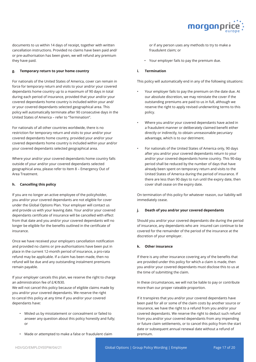

documents to us within 14 days of receipt, together with written cancellation instructions. Provided no claims have been paid and/ or pre-authorisation has been given, we will refund any premium they have paid.

# **g. Temporary return to your home country**

For nationals of the United States of America, cover can remain in force for temporary return and visits to your and/or your covered dependants home country up to a maximum of 90 days in total during each period of insurance, provided that your and/or your covered dependants home country is included within your and/ or your covered dependants selected geographical area. This policy will automatically terminate after 90 consecutive days in the United States of America – refer to "Termination".

For nationals of all other countries worldwide, there is no restriction for temporary return and visits to your and/or your covered dependants home country, provided your and/or your covered dependants home country is included within your and/or your covered dependants selected geographical area.

Where your and/or your covered dependants home country falls outside of your and/or your covered dependants selected geographical area, please refer to Item 8 – Emergency Out of Area Treatment.

#### **h. Cancelling this policy**

If you are no longer an active employee of the policyholder, you and/or your covered dependants are not eligible for cover under the Global Options Plan. Your employer will contact us and provide us with your leaving date. Your and/or your covered dependants certificate of insurance will be cancelled with effect from that date and you and/or your covered dependants will no longer be eligible for the benefits outlined in the certificate of insurance.

Once we have received your employers cancellation notification and provided no claims or pre-authorisations have been put in place in the current 12-month period of insurance, a pro-rata refund may be applicable. If a claim has been made, then no refund will be due and any outstanding instalment premiums remain payable.

If your employer cancels this plan, we reserve the right to charge an administration fee of £/€/\$30.

We will not cancel this policy because of eligible claims made by you and/or your covered dependants. We reserve the right to cancel this policy at any time if you and/or your covered dependants have:

- Misled us by misstatement or concealment or failed to answer any question about this policy honestly and fully; or
- Made or attempted to make a false or fraudulent claim

or if any person uses any methods to try to make a fraudulent claim; or

• Your employer fails to pay the premium due.

#### **i. Termination**

This policy will automatically end in any of the following situations:

- Your employer fails to pay the premium on the date due. At our absolute discretion, we may reinstate the cover if the outstanding premiums are paid to us in full, although we reserve the right to apply revised underwriting terms to this policy.
- Where you and/or your covered dependants have acted in a fraudulent manner or deliberately claimed benefit either directly or indirectly, to obtain unreasonable pecuniary advantage, which is to our detriment.
- For nationals of the United States of America only, 90 days after you and/or your covered dependants return to your and/or your covered dependants home country. This 90-day period shall be reduced by the number of days that have already been spent on temporary return and visits to the United States of America during the period of insurance. If there are less than 90 days to run until the expiry date, then cover shall cease on the expiry date.

On termination of this policy for whatever reason, our liability will immediately cease.

# **j. Death of you and/or your covered dependants**

Should you and/or your covered dependants die during the period of insurance, any dependants who are insured can continue to be covered for the remainder of the period of the insurance at the discretion of your employer.

## **k. Other insurance**

If there is any other insurance covering any of the benefits that are provided under this policy for which a claim is made, then you and/or your covered dependants must disclose this to us at the time of submitting the claim.

In these circumstances, we will not be liable to pay or contribute more than our proper rateable proportion.

If it transpires that you and/or your covered dependants have been paid for all or some of the claim costs by another source or insurance, we have the right to a refund from you and/or your covered dependants. We reserve the right to deduct such refund from you and/or your covered dependants from any impending or future claim settlements, or to cancel this policy from the start date or subsequent annual renewal date without a refund of premium.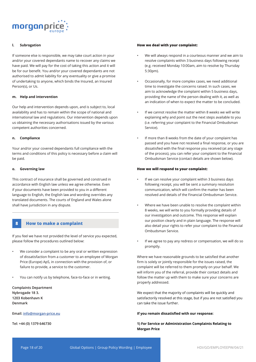

# **l. Subrogation**

If someone else is responsible, we may take court action in your and/or your covered dependants name to recover any claims we have paid. We will pay for the cost of taking this action and it will be for our benefit. You and/or your covered dependants are not authorised to admit liability for any eventuality or give a promise of undertaking to anyone, which binds the Insured, an Insured Person(s), or Us.

### **m. Help and intervention**

Our help and intervention depends upon, and is subject to, local availability and has to remain within the scope of national and international law and regulations. Our intervention depends upon us obtaining the necessary authorisations issued by the various competent authorities concerned.

# **n. Compliance**

Your and/or your covered dependants full compliance with the terms and conditions of this policy is necessary before a claim will be paid.

# **o. Governing law**

This contract of insurance shall be governed and construed in accordance with English law unless we agree otherwise. Even if your documents have been provided to you in a different language to English, the English law and wording overrides any translated documents. The courts of England and Wales alone shall have jurisdiction in any dispute.

# **8 How to make a complaint**

If you feel we have not provided the level of service you expected, please follow the procedures outlined below:

- We consider a complaint to be any oral or written expression of dissatisfaction from a customer to an employee of Morgan Price (Europe) ApS, in connection with the provision of, or failure to provide, a service to the customer.
- You can notify us by telephone, face-to-face or in writing.

**Complaints Department Nybrogade 18 3. 1203 Kobenhavn K Denmark**

**Email: info@morgan-price.eu** 

**Tel: +44 (0) 1379 646730**

#### **How we deal with your complaint:**

- We will always respond in a courteous manner and we aim to resolve complaints within 3 business days following receipt (e.g. received Monday 10:00am, aim to resolve by Thursday 5:30pm).
- Occasionally, for more complex cases, we need additional time to investigate the concerns raised. In such cases, we aim to acknowledge the complaint within 5 business days, providing the name of the person dealing with it, as well as an indication of when to expect the matter to be concluded.
- If we cannot resolve the matter within 8 weeks we will write explaining why and point out the next steps available to you (i.e. referring your complaint to the Financial Ombudsman Service).
- If more than 8 weeks from the date of your complaint has passed and you have not received a final response, or you are dissatisfied with the final response you received (at any stage of the process), you can refer your complaint to the Financial Ombudsman Service (contact details are shown below).

### **How we will respond to your complaint:**

- If we can resolve your complaint within 3 business days following receipt, you will be sent a summary resolution communication, which will confirm the matter has been resolved and details of the Financial Ombudsman Service.
- Where we have been unable to resolve the complaint within 8 weeks, we will write to you formally providing details of our investigation and outcome. This response will explain our position clearly and in plain language. The response will also detail your rights to refer your complaint to the Financial Ombudsman Service.
- If we agree to pay any redress or compensation, we will do so promptly.

Where we have reasonable grounds to be satisfied that another firm is solely or jointly responsible for the issues raised, the complaint will be referred to them promptly on your behalf. We will inform you of the referral, provide their contact details and follow the matter up with them to make sure your concerns are properly addressed.

We expect that the majority of complaints will be quickly and satisfactorily resolved at this stage, but if you are not satisfied you can take the issue further.

#### **If you remain dissatisfied with our response:**

**1) For Service or Administration Complaints Relating to Morgan Price**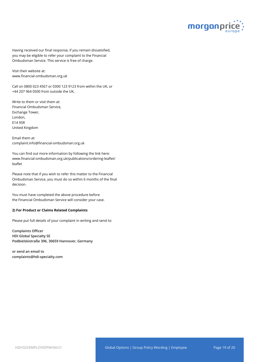

Having received our final response, if you remain dissatisfied, you may be eligible to refer your complaint to the Financial Ombudsman Service. This service is free of charge.

Visit their website at: www.financial-ombudsman.org.uk

Call on 0800 023 4567 or 0300 123 9123 from within the UK, or +44 207 964 0500 from outside the UK,

Write to them or visit them at: Financial Ombudsman Service, Exchange Tower, London, E14 9SR United Kingdom

Email them at: complaint.info@financial-ombudsman.org.uk

You can find out more information by following the link here: www.financial-ombudsman.org.uk/publications/ordering-leaflet/ leaflet

Please note that if you wish to refer this matter to the Financial Ombudsman Service, you must do so within 6 months of the final decision.

You must have completed the above procedure before the Financial Ombudsman Service will consider your case.

# **2) For Product or Claims Related Complaints**

Please put full details of your complaint in writing and send to:

**Complaints Officer HDI Global Specialty SE Podbielskistraße 396, 30659 Hannover, Germany**

**or send an email to complaints@hdi-specialty.com**